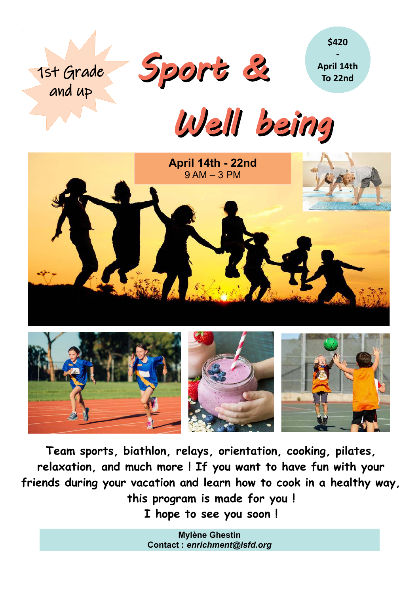

1st Grade

and up

**- April 14th To 22nd**

**\$420**

Well being





**Team sports, biathlon, relays, orientation, cooking, pilates, relaxation, and much more ! If you want to have fun with your friends during your vacation and learn how to cook in a healthy way, this program is made for you ! I hope to see you soon !**

> **Mylène Ghestin Contact :** *enrichment@lsfd.org*